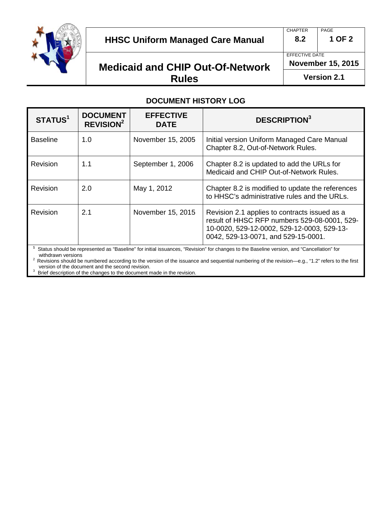

### **HHSC Uniform Managed Care Manual 8.2 1 OF 2**

## **Medicaid and CHIP Out-Of-Network Rules**

CHAPTER PAGE

EFFECTIVE DATE

**November 15, 2015**

**Version 2.1**

### **DOCUMENT HISTORY LOG**

| STATUS <sup>1</sup>                                                                                                                      | <b>DOCUMENT</b><br><b>REVISION<sup>2</sup></b> | <b>EFFECTIVE</b><br><b>DATE</b> | <b>DESCRIPTION3</b>                                                                                                                                                                |
|------------------------------------------------------------------------------------------------------------------------------------------|------------------------------------------------|---------------------------------|------------------------------------------------------------------------------------------------------------------------------------------------------------------------------------|
| <b>Baseline</b>                                                                                                                          | 1.0                                            | November 15, 2005               | Initial version Uniform Managed Care Manual<br>Chapter 8.2, Out-of-Network Rules.                                                                                                  |
| Revision                                                                                                                                 | 1.1                                            | September 1, 2006               | Chapter 8.2 is updated to add the URLs for<br>Medicaid and CHIP Out-of-Network Rules.                                                                                              |
| Revision                                                                                                                                 | 2.0                                            | May 1, 2012                     | Chapter 8.2 is modified to update the references<br>to HHSC's administrative rules and the URLs.                                                                                   |
| Revision                                                                                                                                 | 2.1                                            | November 15, 2015               | Revision 2.1 applies to contracts issued as a<br>result of HHSC RFP numbers 529-08-0001, 529-<br>10-0020, 529-12-0002, 529-12-0003, 529-13-<br>0042, 529-13-0071, and 529-15-0001. |
| Status should be represented as "Baseline" for initial issuances. "Revision" for changes to the Baseline version, and "Cancellation" for |                                                |                                 |                                                                                                                                                                                    |

Status should be represented as "Baseline" for initial issuances, "Revision" for changes to the Baseline version, and "Cancellation" for

withdrawn versions<br><sup>2</sup> Revisions should be numbered according to the version of the issuance and sequential numbering of the revision—e.g., "1.2" refers to the first version of the document and the second revision.

<sup>3</sup> Brief description of the changes to the document made in the revision.